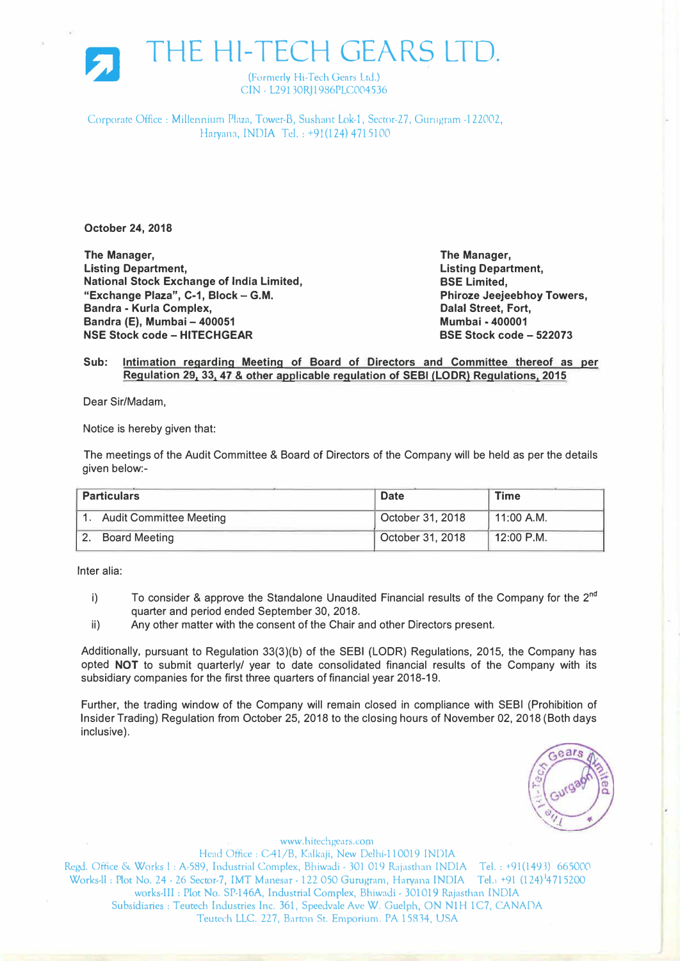

THE Hl-TECH GEARS LTD.

(Formerly Hi-Tech Gears Ltd.) CIN - L29130RJ1986PLC004536

Corporate Office : Millennium Plaza, Tower-B, Sushant Lok-1, Sector-27, Gurugram -122002, Haryana, INDIA Tel.: +91(124) 4715100

**October 24, 2018** 

**The Manager, Listing Department, National Stock Exchange of India Limited, "Exchange Plaza", C-1, Block- G.M. Bandra - Kurla Complex, Bandra (E), Mumbai - 400051 NSE Stock code- HITECHGEAR** 

**The Manager, Listing Department, BSE Limited, Phiroze Jeejeebhoy Towers, Dalal Street, Fort, Mumbai - 400001 BSE Stock code - 522073** 

## **Sub: Intimation regarding Meeting of Board of Directors and Committee thereof as per Regulation 291 331 47 & other applicable regulation of SEBI (LODR) Regulations, 2015**

Dear Sir/Madam,

Notice is hereby given that:

The meetings of the Audit Committee & Board of Directors of the Company will be held as per the details given below:-

| <b>Particulars</b> |                                | <b>Date</b>      | <b>Time</b>             |
|--------------------|--------------------------------|------------------|-------------------------|
|                    | <b>Audit Committee Meeting</b> | October 31, 2018 | $\backslash$ 11:00 A.M. |
|                    | <b>Board Meeting</b>           | October 31, 2018 | 12:00 P.M.              |

Inter alia:

- i) To consider & approve the Standalone Unaudited Financial results of the Company for the 2<sup>nd</sup> quarter and period ended September 30, 2018.
- ii) Any other matter with the consent of the Chair and other Directors present.

Additionally, pursuant to Regulation 33(3)(b) of the SEBI {LODR) Regulations, 2015, the Company has opted **NOT** to submit quarterly/ year to date consolidated financial results of the Company with its subsidiary companies for the first three quarters of financial year 2018-19.

Further, the trading window of the Company will remain closed in compliance with SEBI (Prohibition of Insider Trading) Regulation from October 25, 2018 to the closing hours of November 02, 2018 (Both days inclusive).



www.hitechgears.com Head Office: C-41/B, Kalkaji, New Delhi-110019 INDIA Regd. Office & Works I: A-589, Industrial Complex, Bhiwadi - 301 019 Rajasthan INDIA Tel.: +91(1493) 665000 Works-II: Plot No. 24 - 26 Sector-7, IMT Manesar - 122 050 Gurugram, Haryana INDIA Tel.1 +91 (124)<sup>1</sup>4715200 works-III: Plot No. SP-146A, Industrial Complex, Bhiwadi - 301019 Rajasthan INDIA Subsidiaries: Teutech Industries Inc. 361, Speedvale Ave W. Guelph, ON N1H 1C7, CANADA Teutech LLC. 227, Barton St. Emporium. PA 15834, USA